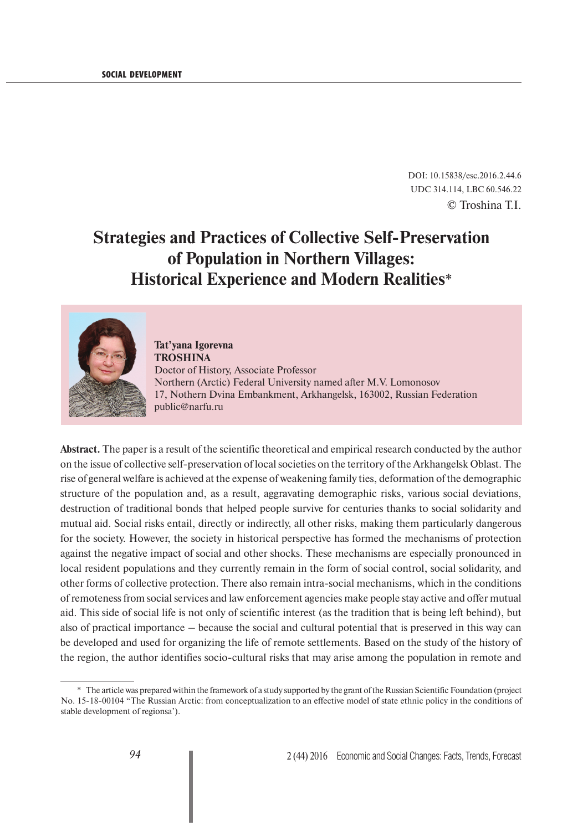DOI: 10.15838/esc.2016.2.44.6 UDC 314.114, LBC 60.546.22 © Troshina T.I.

# **Strategies and Practices of Collective Self-Preservation of Population in Northern Villages: Historical Experience and Modern Realities**\*



**Tat'yana Igorevna TROSHINA** Doctor of History, Associate Professor Northern (Arctic) Federal University named after M.V. Lomonosov 17, Nothern Dvina Embankment, Arkhangelsk, 163002, Russian Federation public@narfu.ru

**Abstract.** The paper is a result of the scientific theoretical and empirical research conducted by the author on the issue of collective self-preservation of local societies on the territory of the Arkhangelsk Oblast. The rise of general welfare is achieved at the expense of weakening family ties, deformation of the demographic structure of the population and, as a result, aggravating demographic risks, various social deviations, destruction of traditional bonds that helped people survive for centuries thanks to social solidarity and mutual aid. Social risks entail, directly or indirectly, all other risks, making them particularly dangerous for the society. However, the society in historical perspective has formed the mechanisms of protection against the negative impact of social and other shocks. These mechanisms are especially pronounced in local resident populations and they currently remain in the form of social control, social solidarity, and other forms of collective protection. There also remain intra-social mechanisms, which in the conditions of remoteness from social services and law enforcement agencies make people stay active and offer mutual aid. This side of social life is not only of scientific interest (as the tradition that is being left behind), but also of practical importance – because the social and cultural potential that is preserved in this way can be developed and used for organizing the life of remote settlements. Based on the study of the history of the region, the author identifies socio-cultural risks that may arise among the population in remote and

<sup>\*</sup> The article was prepared within the framework of a study supported by the grant of the Russian Scientific Foundation (project No. 15-18-00104 "The Russian Arctic: from conceptualization to an effective model of state ethnic policy in the conditions of stable development of regionsa').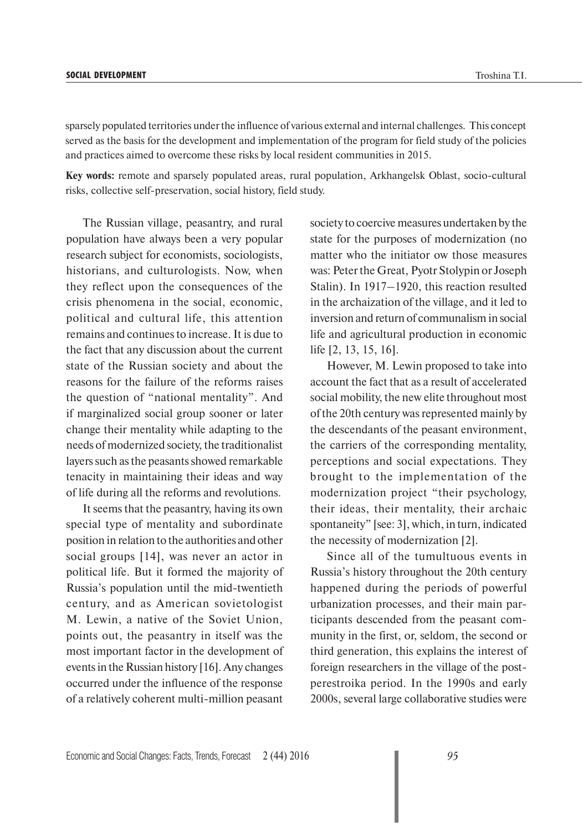sparsely populated territories under the influence of various external and internal challenges. This concept served as the basis for the development and implementation of the program for field study of the policies and practices aimed to overcome these risks by local resident communities in 2015.

**Key words:** remote and sparsely populated areas, rural population, Arkhangelsk Oblast, socio-cultural risks, collective self-preservation, social history, field study.

The Russian village, peasantry, and rural population have always been a very popular research subject for economists, sociologists, historians, and culturologists. Now, when they reflect upon the consequences of the crisis phenomena in the social, economic, political and cultural life, this attention remains and continues to increase. It is due to the fact that any discussion about the current state of the Russian society and about the reasons for the failure of the reforms raises the question of "national mentality". And if marginalized social group sooner or later change their mentality while adapting to the needs of modernized society, the traditionalist layers such as the peasants showed remarkable tenacity in maintaining their ideas and way of life during all the reforms and revolutions.

It seems that the peasantry, having its own special type of mentality and subordinate position in relation to the authorities and other social groups [14], was never an actor in political life. But it formed the majority of Russia's population until the mid-twentieth century, and as American sovietologist M. Lewin, a native of the Soviet Union, points out, the peasantry in itself was the most important factor in the development of events in the Russian history [16]. Any changes occurred under the influence of the response of a relatively coherent multi-million peasant

society to coercive measures undertaken by the state for the purposes of modernization (no matter who the initiator ow those measures was: Peter the Great, Pyotr Stolypin or Joseph Stalin). In 1917–1920, this reaction resulted in the archaization of the village, and it led to inversion and return of communalism in social life and agricultural production in economic life [2, 13, 15, 16].

However, M. Lewin proposed to take into account the fact that as a result of accelerated social mobility, the new elite throughout most of the 20th century was represented mainly by the descendants of the peasant environment, the carriers of the corresponding mentality, perceptions and social expectations. They brought to the implementation of the modernization project "their psychology, their ideas, their mentality, their archaic spontaneity" [see: 3], which, in turn, indicated the necessity of modernization [2].

Since all of the tumultuous events in Russia's history throughout the 20th century happened during the periods of powerful urbanization processes, and their main participants descended from the peasant community in the first, or, seldom, the second or third generation, this explains the interest of foreign researchers in the village of the postperestroika period. In the 1990s and early 2000s, several large collaborative studies were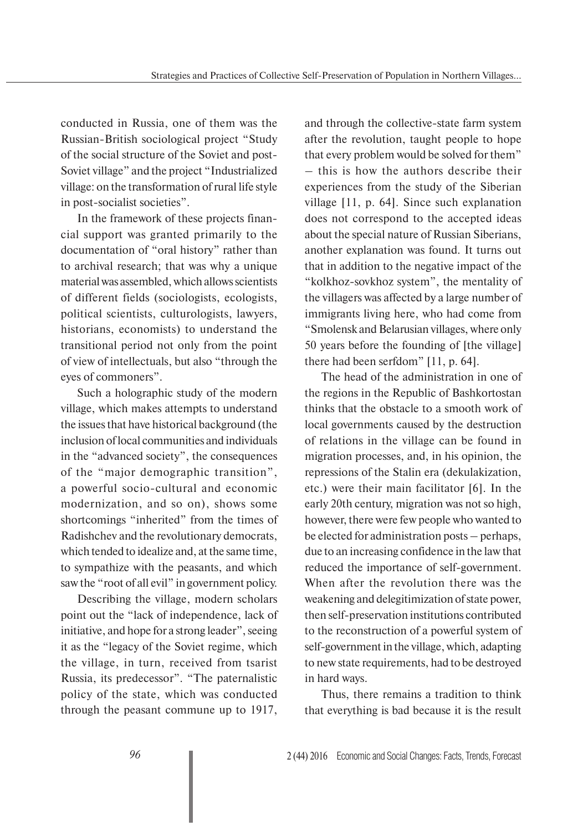conducted in Russia, one of them was the Russian-British sociological project "Study of the social structure of the Soviet and post-Soviet village" and the project "Industrialized village: on the transformation of rural life style in post-socialist societies".

In the framework of these projects financial support was granted primarily to the documentation of "oral history" rather than to archival research; that was why a unique material was assembled, which allows scientists of different fields (sociologists, ecologists, political scientists, culturologists, lawyers, historians, economists) to understand the transitional period not only from the point of view of intellectuals, but also "through the eyes of commoners".

Such a holographic study of the modern village, which makes attempts to understand the issues that have historical background (the inclusion of local communities and individuals in the "advanced society", the consequences of the "major demographic transition", a powerful socio-cultural and economic modernization, and so on), shows some shortcomings "inherited" from the times of Radishchev and the revolutionary democrats, which tended to idealize and, at the same time, to sympathize with the peasants, and which saw the "root of all evil" in government policy.

Describing the village, modern scholars point out the "lack of independence, lack of initiative, and hope for a strong leader", seeing it as the "legacy of the Soviet regime, which the village, in turn, received from tsarist Russia, its predecessor". "The paternalistic policy of the state, which was conducted through the peasant commune up to 1917,

and through the collective-state farm system after the revolution, taught people to hope that every problem would be solved for them" – this is how the authors describe their experiences from the study of the Siberian village [11, p. 64]. Since such explanation does not correspond to the accepted ideas about the special nature of Russian Siberians, another explanation was found. It turns out that in addition to the negative impact of the "kolkhoz-sovkhoz system", the mentality of the villagers was affected by a large number of immigrants living here, who had come from "Smolensk and Belarusian villages, where only 50 years before the founding of [the village] there had been serfdom" [11, p. 64].

The head of the administration in one of the regions in the Republic of Bashkortostan thinks that the obstacle to a smooth work of local governments caused by the destruction of relations in the village can be found in migration processes, and, in his opinion, the repressions of the Stalin era (dekulakization, etc.) were their main facilitator [6]. In the early 20th century, migration was not so high, however, there were few people who wanted to be elected for administration posts – perhaps, due to an increasing confidence in the law that reduced the importance of self-government. When after the revolution there was the weakening and delegitimization of state power, then self-preservation institutions contributed to the reconstruction of a powerful system of self-government in the village, which, adapting to new state requirements, had to be destroyed in hard ways.

Thus, there remains a tradition to think that everything is bad because it is the result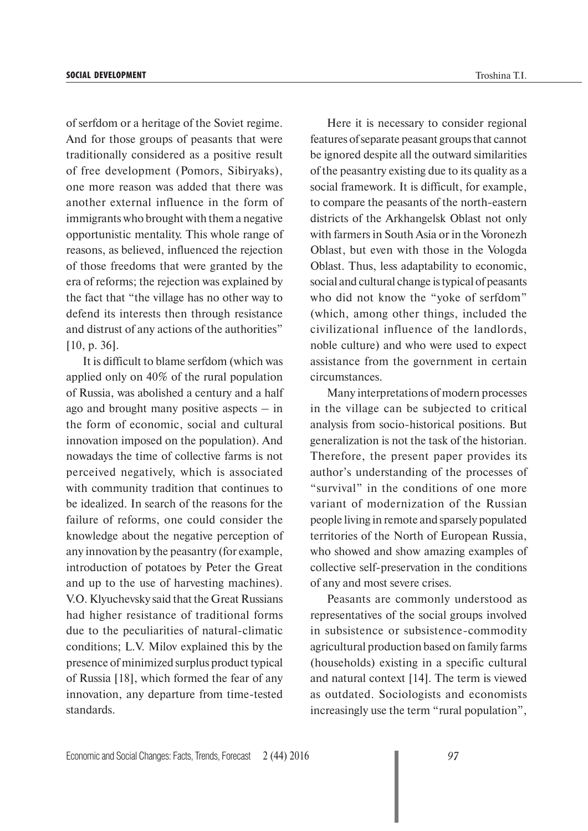of serfdom or a heritage of the Soviet regime. And for those groups of peasants that were traditionally considered as a positive result of free development (Pomors, Sibiryaks), one more reason was added that there was another external influence in the form of immigrants who brought with them a negative opportunistic mentality. This whole range of reasons, as believed, influenced the rejection of those freedoms that were granted by the era of reforms; the rejection was explained by the fact that "the village has no other way to defend its interests then through resistance and distrust of any actions of the authorities" [10, p. 36].

It is difficult to blame serfdom (which was applied only on 40% of the rural population of Russia, was abolished a century and a half ago and brought many positive aspects – in the form of economic, social and cultural innovation imposed on the population). And nowadays the time of collective farms is not perceived negatively, which is associated with community tradition that continues to be idealized. In search of the reasons for the failure of reforms, one could consider the knowledge about the negative perception of any innovation by the peasantry (for example, introduction of potatoes by Peter the Great and up to the use of harvesting machines). V.O. Klyuchevsky said that the Great Russians had higher resistance of traditional forms due to the peculiarities of natural-climatic conditions; L.V. Milov explained this by the presence of minimized surplus product typical of Russia [18], which formed the fear of any innovation, any departure from time-tested standards.

Here it is necessary to consider regional features of separate peasant groups that cannot be ignored despite all the outward similarities of the peasantry existing due to its quality as a social framework. It is difficult, for example, to compare the peasants of the north-eastern districts of the Arkhangelsk Oblast not only with farmers in South Asia or in the Voronezh Oblast, but even with those in the Vologda Oblast. Thus, less adaptability to economic, social and cultural change is typical of peasants who did not know the "yoke of serfdom" (which, among other things, included the civilizational influence of the landlords, noble culture) and who were used to expect assistance from the government in certain circumstances.

Many interpretations of modern processes in the village can be subjected to critical analysis from socio-historical positions. But generalization is not the task of the historian. Therefore, the present paper provides its author's understanding of the processes of "survival" in the conditions of one more variant of modernization of the Russian people living in remote and sparsely populated territories of the North of European Russia, who showed and show amazing examples of collective self-preservation in the conditions of any and most severe crises.

Peasants are commonly understood as representatives of the social groups involved in subsistence or subsistence-commodity agricultural production based on family farms (households) existing in a specific cultural and natural context [14]. The term is viewed as outdated. Sociologists and economists increasingly use the term "rural population",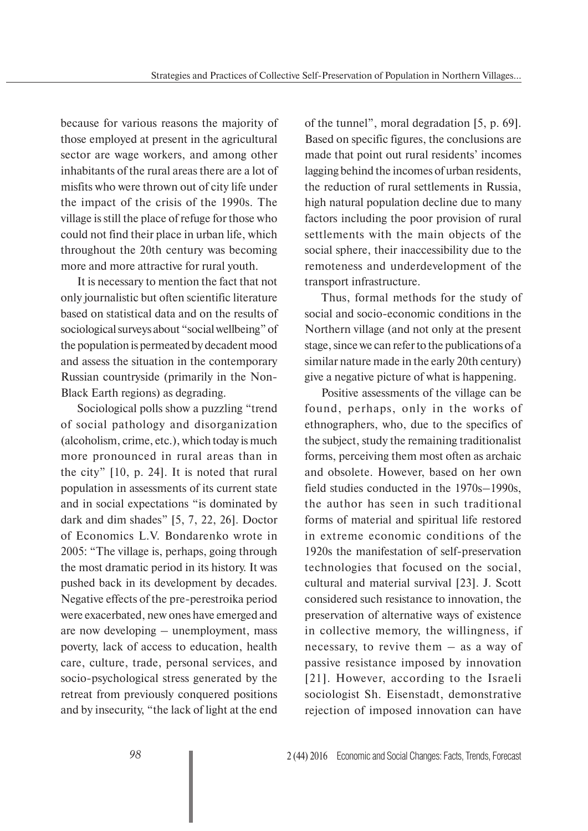because for various reasons the majority of those employed at present in the agricultural sector are wage workers, and among other inhabitants of the rural areas there are a lot of misfits who were thrown out of city life under the impact of the crisis of the 1990s. The village is still the place of refuge for those who could not find their place in urban life, which throughout the 20th century was becoming more and more attractive for rural youth.

It is necessary to mention the fact that not only journalistic but often scientific literature based on statistical data and on the results of sociological surveys about "social wellbeing" of the population is permeated by decadent mood and assess the situation in the contemporary Russian countryside (primarily in the Non-Black Earth regions) as degrading.

Sociological polls show a puzzling "trend of social pathology and disorganization (alcoholism, crime, etc.), which today is much more pronounced in rural areas than in the city" [10, p. 24]. It is noted that rural population in assessments of its current state and in social expectations "is dominated by dark and dim shades" [5, 7, 22, 26]. Doctor of Economics L.V. Bondarenko wrote in 2005: "The village is, perhaps, going through the most dramatic period in its history. It was pushed back in its development by decades. Negative effects of the pre-perestroika period were exacerbated, new ones have emerged and are now developing – unemployment, mass poverty, lack of access to education, health care, culture, trade, personal services, and socio-psychological stress generated by the retreat from previously conquered positions and by insecurity, "the lack of light at the end of the tunnel", moral degradation [5, p. 69]. Based on specific figures, the conclusions are made that point out rural residents' incomes lagging behind the incomes of urban residents, the reduction of rural settlements in Russia, high natural population decline due to many factors including the poor provision of rural settlements with the main objects of the social sphere, their inaccessibility due to the remoteness and underdevelopment of the transport infrastructure.

Thus, formal methods for the study of social and socio-economic conditions in the Northern village (and not only at the present stage, since we can refer to the publications of a similar nature made in the early 20th century) give a negative picture of what is happening.

Positive assessments of the village can be found, perhaps, only in the works of ethnographers, who, due to the specifics of the subject, study the remaining traditionalist forms, perceiving them most often as archaic and obsolete. However, based on her own field studies conducted in the 1970s–1990s, the author has seen in such traditional forms of material and spiritual life restored in extreme economic conditions of the 1920s the manifestation of self-preservation technologies that focused on the social, cultural and material survival [23]. J. Scott considered such resistance to innovation, the preservation of alternative ways of existence in collective memory, the willingness, if necessary, to revive them – as a way of passive resistance imposed by innovation [21]. However, according to the Israeli sociologist Sh. Eisenstadt, demonstrative rejection of imposed innovation can have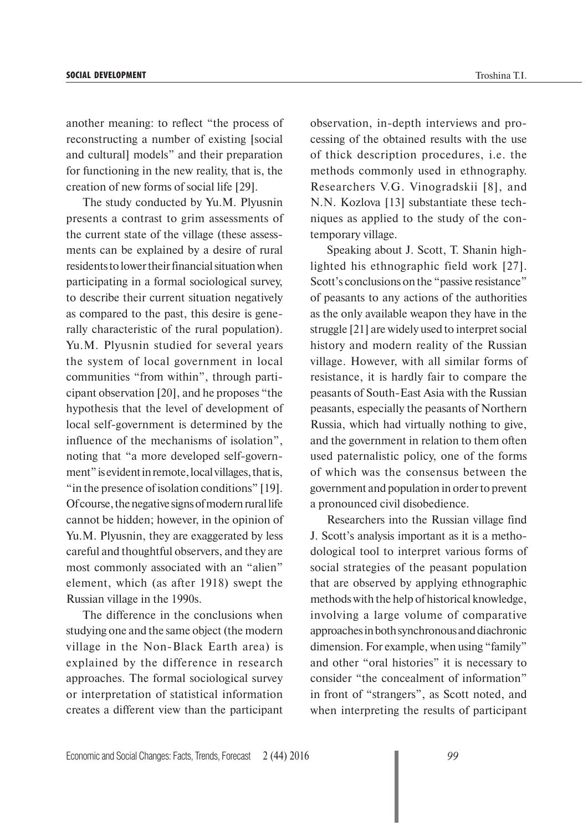another meaning: to reflect "the process of reconstructing a number of existing [social and cultural] models" and their preparation for functioning in the new reality, that is, the creation of new forms of social life [29].

The study conducted by Yu.M. Plyusnin presents a contrast to grim assessments of the current state of the village (these assessments can be explained by a desire of rural residents to lower their financial situation when participating in a formal sociological survey, to describe their current situation negatively as compared to the past, this desire is generally characteristic of the rural population). Yu.M. Plyusnin studied for several years the system of local government in local communities "from within", through participant observation [20], and he proposes "the hypothesis that the level of development of local self-government is determined by the influence of the mechanisms of isolation", noting that "a more developed self-government" is evident in remote, local villages, that is, "in the presence of isolation conditions" [19]. Of course, the negative signs of modern rural life cannot be hidden; however, in the opinion of Yu.M. Plyusnin, they are exaggerated by less careful and thoughtful observers, and they are most commonly associated with an "alien" element, which (as after 1918) swept the Russian village in the 1990s.

The difference in the conclusions when studying one and the same object (the modern village in the Non-Black Earth area) is explained by the difference in research approaches. The formal sociological survey or interpretation of statistical information creates a different view than the participant observation, in-depth interviews and processing of the obtained results with the use of thick description procedures, i.e. the methods commonly used in ethnography. Researchers V.G. Vinogradskii [8], and N.N. Kozlova [13] substantiate these techniques as applied to the study of the contemporary village.

Speaking about J. Scott, T. Shanin highlighted his ethnographic field work [27]. Scott's conclusions on the "passive resistance" of peasants to any actions of the authorities as the only available weapon they have in the struggle [21] are widely used to interpret social history and modern reality of the Russian village. However, with all similar forms of resistance, it is hardly fair to compare the peasants of South-East Asia with the Russian peasants, especially the peasants of Northern Russia, which had virtually nothing to give, and the government in relation to them often used paternalistic policy, one of the forms of which was the consensus between the government and population in order to prevent a pronounced civil disobedience.

Researchers into the Russian village find J. Scott's analysis important as it is a methodological tool to interpret various forms of social strategies of the peasant population that are observed by applying ethnographic methods with the help of historical knowledge, involving a large volume of comparative approaches in both synchronous and diachronic dimension. For example, when using "family" and other "oral histories" it is necessary to consider "the concealment of information" in front of "strangers", as Scott noted, and when interpreting the results of participant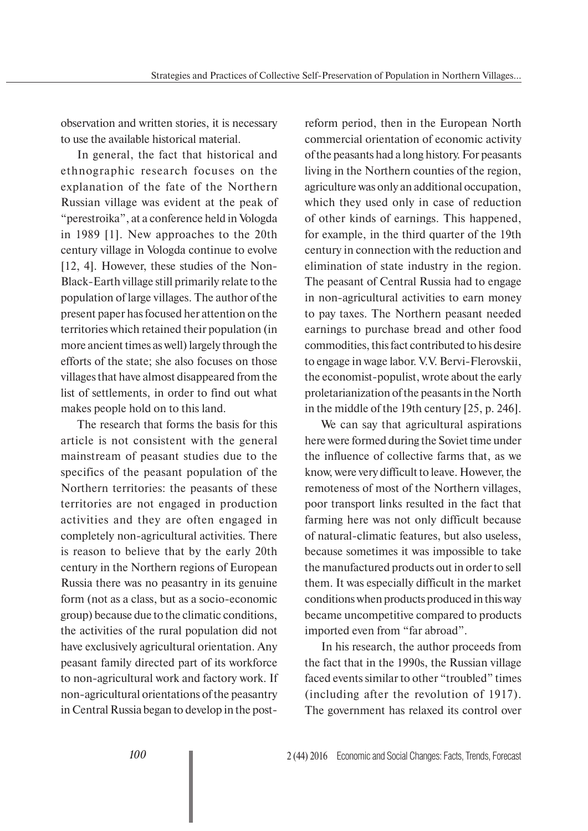observation and written stories, it is necessary to use the available historical material.

In general, the fact that historical and ethnographic research focuses on the explanation of the fate of the Northern Russian village was evident at the peak of "perestroika", at a conference held in Vologda in 1989 [1]. New approaches to the 20th century village in Vologda continue to evolve [12, 4]. However, these studies of the Non-Black-Earth village still primarily relate to the population of large villages. The author of the present paper has focused her attention on the territories which retained their population (in more ancient times as well) largely through the efforts of the state; she also focuses on those villages that have almost disappeared from the list of settlements, in order to find out what makes people hold on to this land.

The research that forms the basis for this article is not consistent with the general mainstream of peasant studies due to the specifics of the peasant population of the Northern territories: the peasants of these territories are not engaged in production activities and they are often engaged in completely non-agricultural activities. There is reason to believe that by the early 20th century in the Northern regions of European Russia there was no peasantry in its genuine form (not as a class, but as a socio-economic group) because due to the climatic conditions, the activities of the rural population did not have exclusively agricultural orientation. Any peasant family directed part of its workforce to non-agricultural work and factory work. If non-agricultural orientations of the peasantry in Central Russia began to develop in the postreform period, then in the European North commercial orientation of economic activity of the peasants had a long history. For peasants living in the Northern counties of the region, agriculture was only an additional occupation, which they used only in case of reduction of other kinds of earnings. This happened, for example, in the third quarter of the 19th century in connection with the reduction and elimination of state industry in the region. The peasant of Central Russia had to engage in non-agricultural activities to earn money to pay taxes. The Northern peasant needed earnings to purchase bread and other food commodities, this fact contributed to his desire to engage in wage labor. V.V. Bervi-Flerovskii, the economist-populist, wrote about the early proletarianization of the peasants in the North in the middle of the 19th century [25, p. 246].

We can say that agricultural aspirations here were formed during the Soviet time under the influence of collective farms that, as we know, were very difficult to leave. However, the remoteness of most of the Northern villages, poor transport links resulted in the fact that farming here was not only difficult because of natural-climatic features, but also useless, because sometimes it was impossible to take the manufactured products out in order to sell them. It was especially difficult in the market conditions when products produced in this way became uncompetitive compared to products imported even from "far abroad".

In his research, the author proceeds from the fact that in the 1990s, the Russian village faced events similar to other "troubled" times (including after the revolution of 1917). The government has relaxed its control over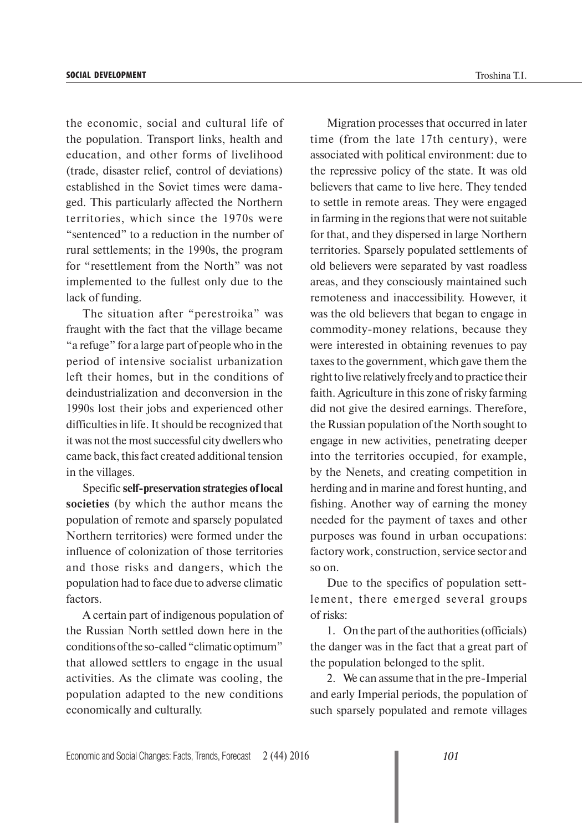the economic, social and cultural life of the population. Transport links, health and education, and other forms of livelihood (trade, disaster relief, control of deviations) established in the Soviet times were damaged. This particularly affected the Northern territories, which since the 1970s were "sentenced" to a reduction in the number of rural settlements; in the 1990s, the program for "resettlement from the North" was not implemented to the fullest only due to the lack of funding.

The situation after "perestroika" was fraught with the fact that the village became "a refuge" for a large part of people who in the period of intensive socialist urbanization left their homes, but in the conditions of deindustrialization and deconversion in the 1990s lost their jobs and experienced other difficulties in life. It should be recognized that it was not the most successful city dwellers who came back, this fact created additional tension in the villages.

Specific **self-preservation strategies of local societies** (by which the author means the population of remote and sparsely populated Northern territories) were formed under the influence of colonization of those territories and those risks and dangers, which the population had to face due to adverse climatic factors.

A certain part of indigenous population of the Russian North settled down here in the conditions of the so-called "climatic optimum" that allowed settlers to engage in the usual activities. As the climate was cooling, the population adapted to the new conditions economically and culturally.

Migration processes that occurred in later time (from the late 17th century), were associated with political environment: due to the repressive policy of the state. It was old believers that came to live here. They tended to settle in remote areas. They were engaged in farming in the regions that were not suitable for that, and they dispersed in large Northern territories. Sparsely populated settlements of old believers were separated by vast roadless areas, and they consciously maintained such remoteness and inaccessibility. However, it was the old believers that began to engage in commodity-money relations, because they were interested in obtaining revenues to pay taxes to the government, which gave them the right to live relatively freely and to practice their faith. Agriculture in this zone of risky farming did not give the desired earnings. Therefore, the Russian population of the North sought to engage in new activities, penetrating deeper into the territories occupied, for example, by the Nenets, and creating competition in herding and in marine and forest hunting, and fishing. Another way of earning the money needed for the payment of taxes and other purposes was found in urban occupations: factory work, construction, service sector and so on.

Due to the specifics of population settlement, there emerged several groups of risks:

1. On the part of the authorities (officials) the danger was in the fact that a great part of the population belonged to the split.

2. We can assume that in the pre-Imperial and early Imperial periods, the population of such sparsely populated and remote villages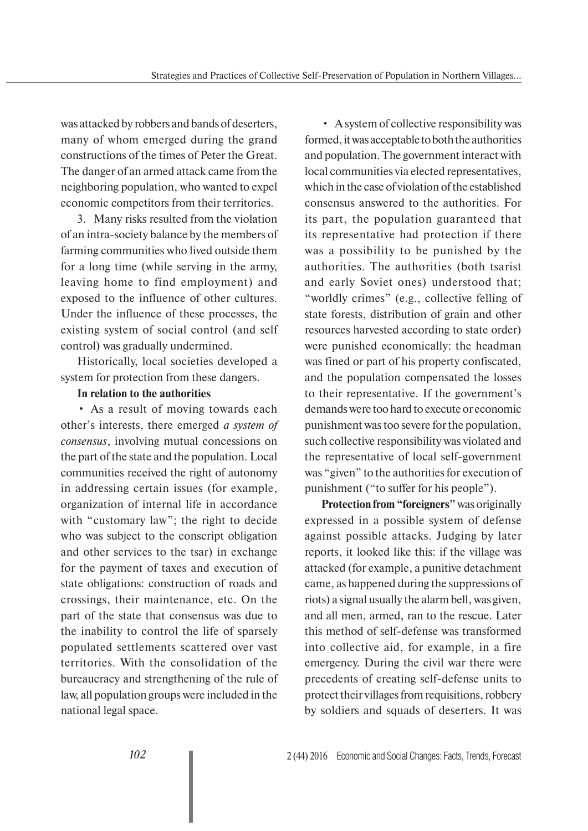was attacked by robbers and bands of deserters, many of whom emerged during the grand constructions of the times of Peter the Great. The danger of an armed attack came from the neighboring population, who wanted to expel economic competitors from their territories.

3. Many risks resulted from the violation of an intra-society balance by the members of farming communities who lived outside them for a long time (while serving in the army, leaving home to find employment) and exposed to the influence of other cultures. Under the influence of these processes, the existing system of social control (and self control) was gradually undermined.

Historically, local societies developed a system for protection from these dangers.

## **In relation to the authorities**

• As a result of moving towards each other's interests, there emerged *a system of consensus*, involving mutual concessions on the part of the state and the population. Local communities received the right of autonomy in addressing certain issues (for example, organization of internal life in accordance with "customary law"; the right to decide who was subject to the conscript obligation and other services to the tsar) in exchange for the payment of taxes and execution of state obligations: construction of roads and crossings, their maintenance, etc. On the part of the state that consensus was due to the inability to control the life of sparsely populated settlements scattered over vast territories. With the consolidation of the bureaucracy and strengthening of the rule of law, all population groups were included in the national legal space.

• A system of collective responsibility was formed, it was acceptable to both the authorities and population. The government interact with local communities via elected representatives, which in the case of violation of the established consensus answered to the authorities. For its part, the population guaranteed that its representative had protection if there was a possibility to be punished by the authorities. The authorities (both tsarist and early Soviet ones) understood that; "worldly crimes" (e.g., collective felling of state forests, distribution of grain and other resources harvested according to state order) were punished economically: the headman was fined or part of his property confiscated, and the population compensated the losses to their representative. If the government's demands were too hard to execute or economic punishment was too severe for the population, such collective responsibility was violated and the representative of local self-government was "given" to the authorities for execution of punishment ("to suffer for his people").

**Protection from "foreigners"** was originally expressed in a possible system of defense against possible attacks. Judging by later reports, it looked like this: if the village was attacked (for example, a punitive detachment came, as happened during the suppressions of riots) a signal usually the alarm bell, was given, and all men, armed, ran to the rescue. Later this method of self-defense was transformed into collective aid, for example, in a fire emergency. During the civil war there were precedents of creating self-defense units to protect their villages from requisitions, robbery by soldiers and squads of deserters. It was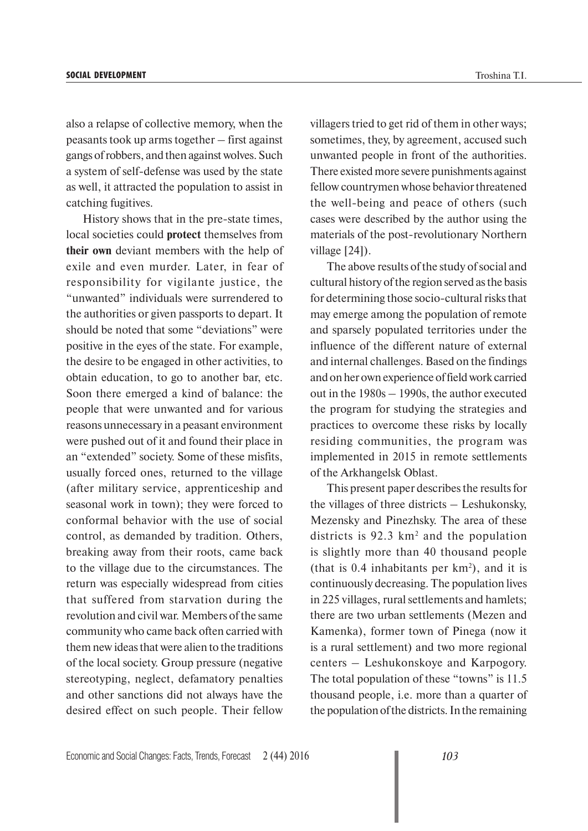also a relapse of collective memory, when the peasants took up arms together – first against gangs of robbers, and then against wolves. Such a system of self-defense was used by the state as well, it attracted the population to assist in catching fugitives.

History shows that in the pre-state times, local societies could **protect** themselves from **their own** deviant members with the help of exile and even murder. Later, in fear of responsibility for vigilante justice, the "unwanted" individuals were surrendered to the authorities or given passports to depart. It should be noted that some "deviations" were positive in the eyes of the state. For example, the desire to be engaged in other activities, to obtain education, to go to another bar, etc. Soon there emerged a kind of balance: the people that were unwanted and for various reasons unnecessary in a peasant environment were pushed out of it and found their place in an "extended" society. Some of these misfits, usually forced ones, returned to the village (after military service, apprenticeship and seasonal work in town); they were forced to conformal behavior with the use of social control, as demanded by tradition. Others, breaking away from their roots, came back to the village due to the circumstances. The return was especially widespread from cities that suffered from starvation during the revolution and civil war. Members of the same community who came back often carried with them new ideas that were alien to the traditions of the local society. Group pressure (negative stereotyping, neglect, defamatory penalties and other sanctions did not always have the desired effect on such people. Their fellow

villagers tried to get rid of them in other ways; sometimes, they, by agreement, accused such unwanted people in front of the authorities. There existed more severe punishments against fellow countrymen whose behavior threatened the well-being and peace of others (such cases were described by the author using the materials of the post-revolutionary Northern village [24]).

The above results of the study of social and cultural history of the region served as the basis for determining those socio-cultural risks that may emerge among the population of remote and sparsely populated territories under the influence of the different nature of external and internal challenges. Based on the findings and on her own experience of field work carried out in the 1980s – 1990s, the author executed the program for studying the strategies and practices to overcome these risks by locally residing communities, the program was implemented in 2015 in remote settlements of the Arkhangelsk Oblast.

This present paper describes the results for the villages of three districts – Leshukonsky, Mezensky and Pinezhsky. The area of these districts is  $92.3 \text{ km}^2$  and the population is slightly more than 40 thousand people (that is  $0.4$  inhabitants per  $km^2$ ), and it is continuously decreasing. The population lives in 225 villages, rural settlements and hamlets; there are two urban settlements (Mezen and Kamenka), former town of Pinega (now it is a rural settlement) and two more regional centers – Leshukonskoye and Karpogory. The total population of these "towns" is 11.5 thousand people, i.e. more than a quarter of the population of the districts. In the remaining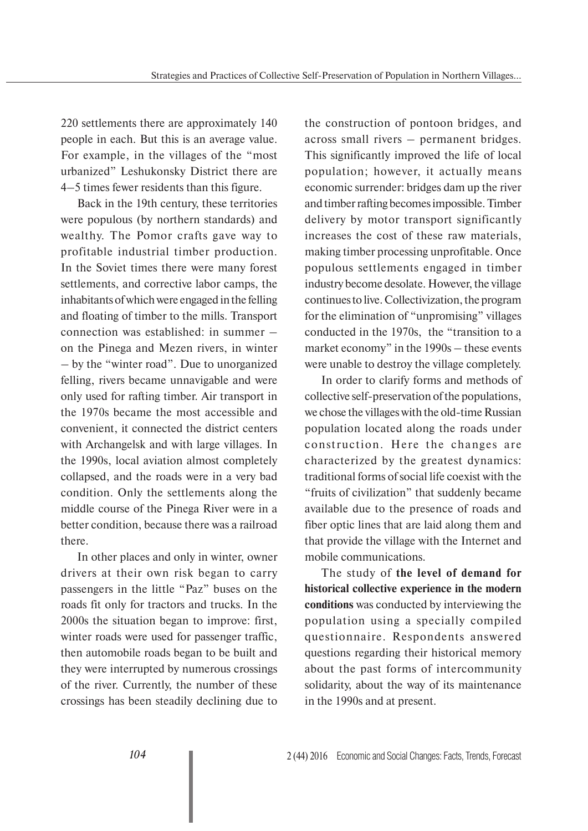220 settlements there are approximately 140 people in each. But this is an average value. For example, in the villages of the "most urbanized" Leshukonsky District there are 4–5 times fewer residents than this figure.

Back in the 19th century, these territories were populous (by northern standards) and wealthy. The Pomor crafts gave way to profitable industrial timber production. In the Soviet times there were many forest settlements, and corrective labor camps, the inhabitants of which were engaged in the felling and floating of timber to the mills. Transport connection was established: in summer – on the Pinega and Mezen rivers, in winter – by the "winter road". Due to unorganized felling, rivers became unnavigable and were only used for rafting timber. Air transport in the 1970s became the most accessible and convenient, it connected the district centers with Archangelsk and with large villages. In the 1990s, local aviation almost completely collapsed, and the roads were in a very bad condition. Only the settlements along the middle course of the Pinega River were in a better condition, because there was a railroad there.

In other places and only in winter, owner drivers at their own risk began to carry passengers in the little "Paz" buses on the roads fit only for tractors and trucks. In the 2000s the situation began to improve: first, winter roads were used for passenger traffic, then automobile roads began to be built and they were interrupted by numerous crossings of the river. Currently, the number of these crossings has been steadily declining due to

the construction of pontoon bridges, and across small rivers – permanent bridges. This significantly improved the life of local population; however, it actually means economic surrender: bridges dam up the river and timber rafting becomes impossible. Timber delivery by motor transport significantly increases the cost of these raw materials, making timber processing unprofitable. Once populous settlements engaged in timber industry become desolate. However, the village continues to live. Collectivization, the program for the elimination of "unpromising" villages conducted in the 1970s, the "transition to a market economy" in the 1990s – these events were unable to destroy the village completely.

In order to clarify forms and methods of collective self-preservation of the populations, we chose the villages with the old-time Russian population located along the roads under construction. Here the changes are characterized by the greatest dynamics: traditional forms of social life coexist with the "fruits of civilization" that suddenly became available due to the presence of roads and fiber optic lines that are laid along them and that provide the village with the Internet and mobile communications.

The study of **the level of demand for historical collective experience in the modern conditions** was conducted by interviewing the population using a specially compiled questionnaire. Respondents answered questions regarding their historical memory about the past forms of intercommunity solidarity, about the way of its maintenance in the 1990s and at present.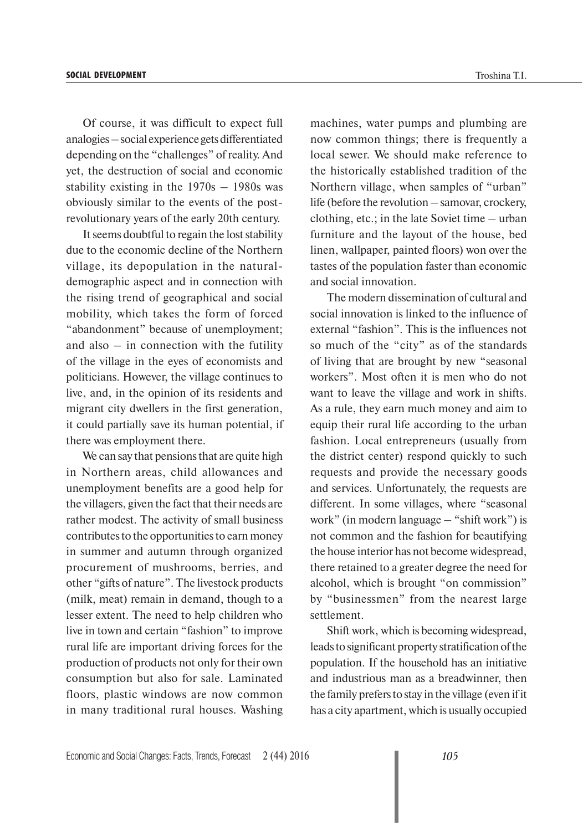Of course, it was difficult to expect full analogies – social experience gets differentiated depending on the "challenges" of reality. And yet, the destruction of social and economic stability existing in the 1970s – 1980s was obviously similar to the events of the postrevolutionary years of the early 20th century.

It seems doubtful to regain the lost stability due to the economic decline of the Northern village, its depopulation in the naturaldemographic aspect and in connection with the rising trend of geographical and social mobility, which takes the form of forced "abandonment" because of unemployment; and also  $-$  in connection with the futility of the village in the eyes of economists and politicians. However, the village continues to live, and, in the opinion of its residents and migrant city dwellers in the first generation, it could partially save its human potential, if there was employment there.

We can say that pensions that are quite high in Northern areas, child allowances and unemployment benefits are a good help for the villagers, given the fact that their needs are rather modest. The activity of small business contributes to the opportunities to earn money in summer and autumn through organized procurement of mushrooms, berries, and other "gifts of nature". The livestock products (milk, meat) remain in demand, though to a lesser extent. The need to help children who live in town and certain "fashion" to improve rural life are important driving forces for the production of products not only for their own consumption but also for sale. Laminated floors, plastic windows are now common in many traditional rural houses. Washing machines, water pumps and plumbing are now common things; there is frequently a local sewer. We should make reference to the historically established tradition of the Northern village, when samples of "urban" life (before the revolution – samovar, crockery, clothing, etc.; in the late Soviet time – urban furniture and the layout of the house, bed linen, wallpaper, painted floors) won over the tastes of the population faster than economic and social innovation.

The modern dissemination of cultural and social innovation is linked to the influence of external "fashion". This is the influences not so much of the "city" as of the standards of living that are brought by new "seasonal workers". Most often it is men who do not want to leave the village and work in shifts. As a rule, they earn much money and aim to equip their rural life according to the urban fashion. Local entrepreneurs (usually from the district center) respond quickly to such requests and provide the necessary goods and services. Unfortunately, the requests are different. In some villages, where "seasonal work" (in modern language – "shift work") is not common and the fashion for beautifying the house interior has not become widespread, there retained to a greater degree the need for alcohol, which is brought "on commission" by "businessmen" from the nearest large settlement.

Shift work, which is becoming widespread, leads to significant property stratification of the population. If the household has an initiative and industrious man as a breadwinner, then the family prefers to stay in the village (even if it has a city apartment, which is usually occupied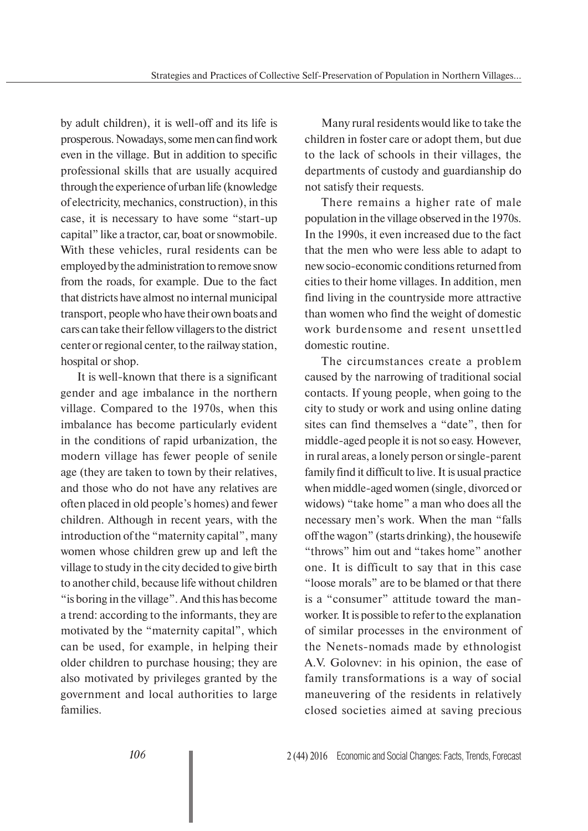by adult children), it is well-off and its life is prosperous. Nowadays, some men can find work even in the village. But in addition to specific professional skills that are usually acquired through the experience of urban life (knowledge of electricity, mechanics, construction), in this case, it is necessary to have some "start-up capital" like a tractor, car, boat or snowmobile. With these vehicles, rural residents can be employed by the administration to remove snow from the roads, for example. Due to the fact that districts have almost no internal municipal transport, people who have their own boats and cars can take their fellow villagers to the district center or regional center, to the railway station, hospital or shop.

It is well-known that there is a significant gender and age imbalance in the northern village. Compared to the 1970s, when this imbalance has become particularly evident in the conditions of rapid urbanization, the modern village has fewer people of senile age (they are taken to town by their relatives, and those who do not have any relatives are often placed in old people's homes) and fewer children. Although in recent years, with the introduction of the "maternity capital", many women whose children grew up and left the village to study in the city decided to give birth to another child, because life without children "is boring in the village". And this has become a trend: according to the informants, they are motivated by the "maternity capital", which can be used, for example, in helping their older children to purchase housing; they are also motivated by privileges granted by the government and local authorities to large families.

Many rural residents would like to take the children in foster care or adopt them, but due to the lack of schools in their villages, the departments of custody and guardianship do not satisfy their requests.

There remains a higher rate of male population in the village observed in the 1970s. In the 1990s, it even increased due to the fact that the men who were less able to adapt to new socio-economic conditions returned from cities to their home villages. In addition, men find living in the countryside more attractive than women who find the weight of domestic work burdensome and resent unsettled domestic routine.

The circumstances create a problem caused by the narrowing of traditional social contacts. If young people, when going to the city to study or work and using online dating sites can find themselves a "date", then for middle-aged people it is not so easy. However, in rural areas, a lonely person or single-parent family find it difficult to live. It is usual practice when middle-aged women (single, divorced or widows) "take home" a man who does all the necessary men's work. When the man "falls off the wagon" (starts drinking), the housewife "throws" him out and "takes home" another one. It is difficult to say that in this case "loose morals" are to be blamed or that there is a "consumer" attitude toward the manworker. It is possible to refer to the explanation of similar processes in the environment of the Nenets-nomads made by ethnologist A.V. Golovnev: in his opinion, the ease of family transformations is a way of social maneuvering of the residents in relatively closed societies aimed at saving precious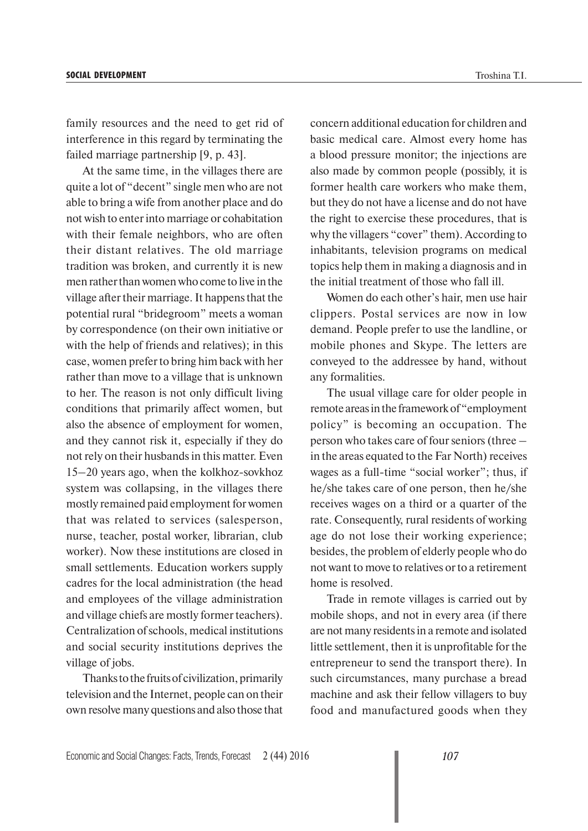family resources and the need to get rid of interference in this regard by terminating the failed marriage partnership [9, p. 43].

At the same time, in the villages there are quite a lot of "decent" single men who are not able to bring a wife from another place and do not wish to enter into marriage or cohabitation with their female neighbors, who are often their distant relatives. The old marriage tradition was broken, and currently it is new men rather than women who come to live in the village after their marriage. It happens that the potential rural "bridegroom" meets a woman by correspondence (on their own initiative or with the help of friends and relatives); in this case, women prefer to bring him back with her rather than move to a village that is unknown to her. The reason is not only difficult living conditions that primarily affect women, but also the absence of employment for women, and they cannot risk it, especially if they do not rely on their husbands in this matter. Even 15–20 years ago, when the kolkhoz-sovkhoz system was collapsing, in the villages there mostly remained paid employment for women that was related to services (salesperson, nurse, teacher, postal worker, librarian, club worker). Now these institutions are closed in small settlements. Education workers supply cadres for the local administration (the head and employees of the village administration and village chiefs are mostly former teachers). Centralization of schools, medical institutions and social security institutions deprives the village of jobs.

Thanks to the fruits of civilization, primarily television and the Internet, people can on their own resolve many questions and also those that concern additional education for children and basic medical care. Almost every home has a blood pressure monitor; the injections are also made by common people (possibly, it is former health care workers who make them, but they do not have a license and do not have the right to exercise these procedures, that is why the villagers "cover" them). According to inhabitants, television programs on medical topics help them in making a diagnosis and in the initial treatment of those who fall ill.

Women do each other's hair, men use hair clippers. Postal services are now in low demand. People prefer to use the landline, or mobile phones and Skype. The letters are conveyed to the addressee by hand, without any formalities.

The usual village care for older people in remote areas in the framework of "employment policy" is becoming an occupation. The person who takes care of four seniors (three – in the areas equated to the Far North) receives wages as a full-time "social worker"; thus, if he/she takes care of one person, then he/she receives wages on a third or a quarter of the rate. Consequently, rural residents of working age do not lose their working experience; besides, the problem of elderly people who do not want to move to relatives or to a retirement home is resolved.

Trade in remote villages is carried out by mobile shops, and not in every area (if there are not many residents in a remote and isolated little settlement, then it is unprofitable for the entrepreneur to send the transport there). In such circumstances, many purchase a bread machine and ask their fellow villagers to buy food and manufactured goods when they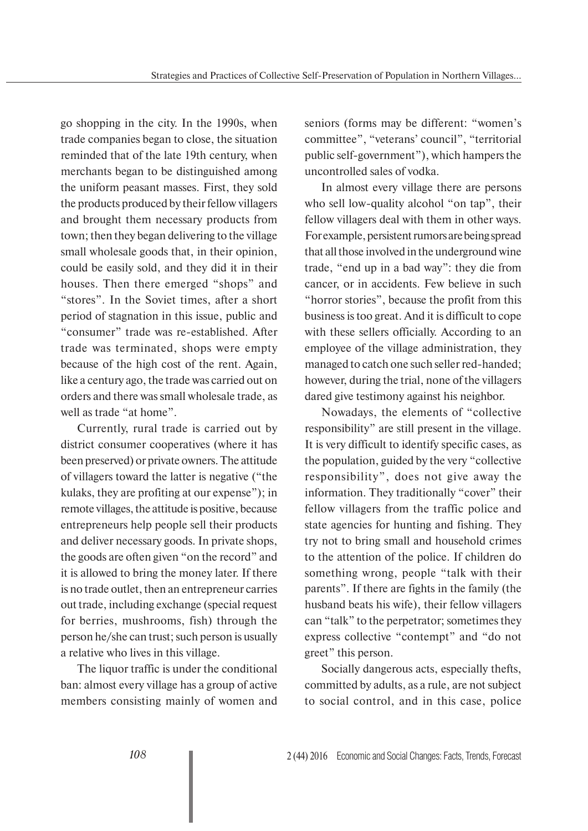go shopping in the city. In the 1990s, when trade companies began to close, the situation reminded that of the late 19th century, when merchants began to be distinguished among the uniform peasant masses. First, they sold the products produced by their fellow villagers and brought them necessary products from town; then they began delivering to the village small wholesale goods that, in their opinion, could be easily sold, and they did it in their houses. Then there emerged "shops" and "stores". In the Soviet times, after a short period of stagnation in this issue, public and "consumer" trade was re-established. After trade was terminated, shops were empty because of the high cost of the rent. Again, like a century ago, the trade was carried out on orders and there was small wholesale trade, as well as trade "at home".

Currently, rural trade is carried out by district consumer cooperatives (where it has been preserved) or private owners. The attitude of villagers toward the latter is negative ("the kulaks, they are profiting at our expense"); in remote villages, the attitude is positive, because entrepreneurs help people sell their products and deliver necessary goods. In private shops, the goods are often given "on the record" and it is allowed to bring the money later. If there is no trade outlet, then an entrepreneur carries out trade, including exchange (special request for berries, mushrooms, fish) through the person he/she can trust; such person is usually a relative who lives in this village.

The liquor traffic is under the conditional ban: almost every village has a group of active members consisting mainly of women and seniors (forms may be different: "women's committee", "veterans' council", "territorial public self-government"), which hampers the uncontrolled sales of vodka.

In almost every village there are persons who sell low-quality alcohol "on tap", their fellow villagers deal with them in other ways. For example, persistent rumors are being spread that all those involved in the underground wine trade, "end up in a bad way": they die from cancer, or in accidents. Few believe in such "horror stories", because the profit from this business is too great. And it is difficult to cope with these sellers officially. According to an employee of the village administration, they managed to catch one such seller red-handed; however, during the trial, none of the villagers dared give testimony against his neighbor.

Nowadays, the elements of "collective responsibility" are still present in the village. It is very difficult to identify specific cases, as the population, guided by the very "collective responsibility", does not give away the information. They traditionally "cover" their fellow villagers from the traffic police and state agencies for hunting and fishing. They try not to bring small and household crimes to the attention of the police. If children do something wrong, people "talk with their parents". If there are fights in the family (the husband beats his wife), their fellow villagers can "talk" to the perpetrator; sometimes they express collective "contempt" and "do not greet" this person.

Socially dangerous acts, especially thefts, committed by adults, as a rule, are not subject to social control, and in this case, police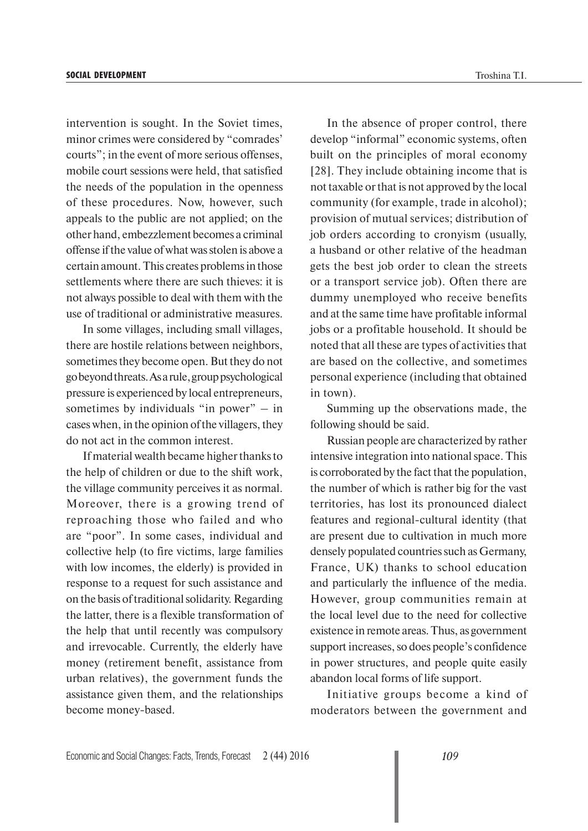intervention is sought. In the Soviet times, minor crimes were considered by "comrades' courts"; in the event of more serious offenses, mobile court sessions were held, that satisfied the needs of the population in the openness of these procedures. Now, however, such appeals to the public are not applied; on the other hand, embezzlement becomes a criminal offense if the value of what was stolen is above a certain amount. This creates problems in those settlements where there are such thieves: it is not always possible to deal with them with the use of traditional or administrative measures.

In some villages, including small villages, there are hostile relations between neighbors, sometimes they become open. But they do not go beyond threats. As a rule, group psychological pressure is experienced by local entrepreneurs, sometimes by individuals "in power" – in cases when, in the opinion of the villagers, they do not act in the common interest.

If material wealth became higher thanks to the help of children or due to the shift work, the village community perceives it as normal. Moreover, there is a growing trend of reproaching those who failed and who are "poor". In some cases, individual and collective help (to fire victims, large families with low incomes, the elderly) is provided in response to a request for such assistance and on the basis of traditional solidarity. Regarding the latter, there is a flexible transformation of the help that until recently was compulsory and irrevocable. Currently, the elderly have money (retirement benefit, assistance from urban relatives), the government funds the assistance given them, and the relationships become money-based.

In the absence of proper control, there develop "informal" economic systems, often built on the principles of moral economy [28]. They include obtaining income that is not taxable or that is not approved by the local community (for example, trade in alcohol); provision of mutual services; distribution of job orders according to cronyism (usually, a husband or other relative of the headman gets the best job order to clean the streets or a transport service job). Often there are dummy unemployed who receive benefits

and at the same time have profitable informal jobs or a profitable household. It should be noted that all these are types of activities that are based on the collective, and sometimes personal experience (including that obtained in town).

Summing up the observations made, the following should be said.

Russian people are characterized by rather intensive integration into national space. This is corroborated by the fact that the population, the number of which is rather big for the vast territories, has lost its pronounced dialect features and regional-cultural identity (that are present due to cultivation in much more densely populated countries such as Germany, France, UK) thanks to school education and particularly the influence of the media. However, group communities remain at the local level due to the need for collective existence in remote areas. Thus, as government support increases, so does people's confidence in power structures, and people quite easily abandon local forms of life support.

Initiative groups become a kind of moderators between the government and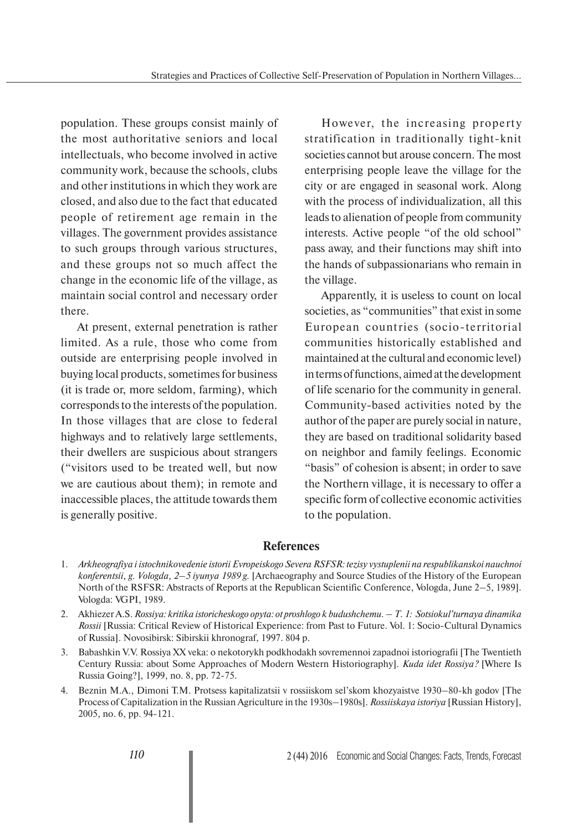population. These groups consist mainly of the most authoritative seniors and local intellectuals, who become involved in active community work, because the schools, clubs and other institutions in which they work are closed, and also due to the fact that educated people of retirement age remain in the villages. The government provides assistance to such groups through various structures, and these groups not so much affect the change in the economic life of the village, as maintain social control and necessary order there.

At present, external penetration is rather limited. As a rule, those who come from outside are enterprising people involved in buying local products, sometimes for business (it is trade or, more seldom, farming), which corresponds to the interests of the population. In those villages that are close to federal highways and to relatively large settlements, their dwellers are suspicious about strangers ("visitors used to be treated well, but now we are cautious about them); in remote and inaccessible places, the attitude towards them is generally positive.

However, the increasing property stratification in traditionally tight-knit societies cannot but arouse concern. The most enterprising people leave the village for the city or are engaged in seasonal work. Along with the process of individualization, all this leads to alienation of people from community interests. Active people "of the old school" pass away, and their functions may shift into the hands of subpassionarians who remain in the village.

Apparently, it is useless to count on local societies, as "communities" that exist in some European countries (socio-territorial communities historically established and maintained at the cultural and economic level) in terms of functions, aimed at the development of life scenario for the community in general. Community-based activities noted by the author of the paper are purely social in nature, they are based on traditional solidarity based on neighbor and family feelings. Economic "basis" of cohesion is absent; in order to save the Northern village, it is necessary to offer a specific form of collective economic activities to the population.

## **References**

- 1. *Arkheografiya i istochnikovedenie istorii Evropeiskogo Severa RSFSR: tezisy vystuplenii na respublikanskoi nauchnoi konferentsii, g. Vologda, 2–5 iyunya 1989 g.* [Archaeography and Source Studies of the History of the European North of the RSFSR: Abstracts of Reports at the Republican Scientific Conference, Vologda, June 2–5, 1989]. Vologda: VGPI, 1989.
- 2. Akhiezer A.S. *Rossiya: kritika istoricheskogo opyta: ot proshlogo k budushchemu. T. 1: Sotsiokul'turnaya dinamika Rossii* [Russia: Critical Review of Historical Experience: from Past to Future. Vol. 1: Socio-Cultural Dynamics of Russia]. Novosibirsk: Sibirskii khronograf, 1997. 804 p.
- 3. Babashkin V.V. Rossiya XX veka: o nekotorykh podkhodakh sovremennoi zapadnoi istoriografii [The Twentieth Century Russia: about Some Approaches of Modern Western Historiography]. *Kuda idet Rossiya?* [Where Is Russia Going?], 1999, no. 8, pp. 72-75.
- 4. Beznin M.A., Dimoni T.M. Protsess kapitalizatsii v rossiiskom sel'skom khozyaistve 1930–80-kh godov [The Process of Capitalization in the Russian Agriculture in the 1930s–1980s]. *Rossiiskaya istoriya* [Russian History], 2005, no. 6, pp. 94-121.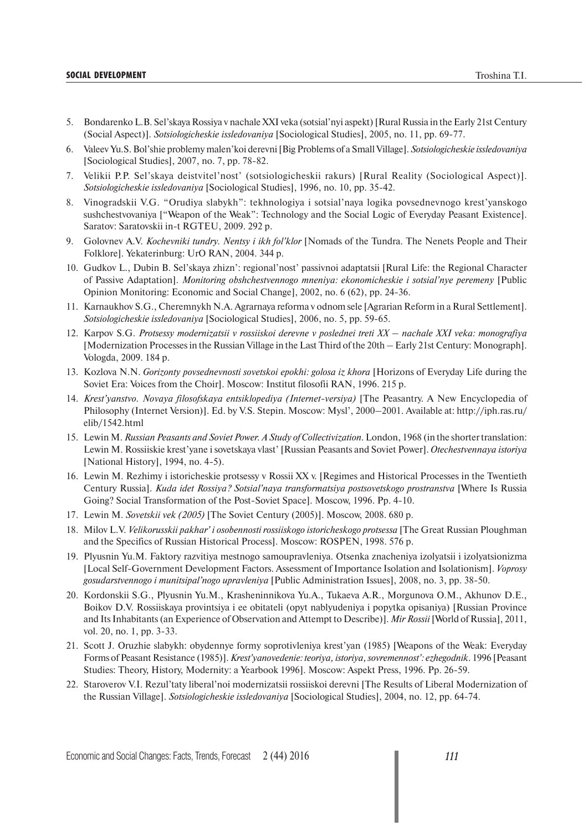#### **SOCIAL DEVELOPMENT** the control of the control of the control of the control of the control of the control of the control of the control of the control of the control of the control of the control of the control of the co

- 5. Bondarenko L.B. Sel'skaya Rossiya v nachale XXI veka (sotsial'nyi aspekt) [Rural Russia in the Early 21st Century (Social Aspect)]. *Sotsiologicheskie issledovaniya* [Sociological Studies], 2005, no. 11, pp. 69-77.
- 6. Valeev Yu.S. Bol'shie problemy malen'koi derevni [Big Problems of a Small Village]. *Sotsiologicheskie issledovaniya* [Sociological Studies], 2007, no. 7, pp. 78-82.
- 7. Velikii P.P. Sel'skaya deistvitel'nost' (sotsiologicheskii rakurs) [Rural Reality (Sociological Aspect)]. *Sotsiologicheskie issledovaniya* [Sociological Studies], 1996, no. 10, pp. 35-42.
- 8. Vinogradskii V.G. "Orudiya slabykh": tekhnologiya i sotsial'naya logika povsednevnogo krest'yanskogo sushchestvovaniya ["Weapon of the Weak": Technology and the Social Logic of Everyday Peasant Existence]. Saratov: Saratovskii in-t RGTEU, 2009. 292 p.
- 9. Golovnev A.V. *Kochevniki tundry. Nentsy i ikh fol'klor* [Nomads of the Tundra. The Nenets People and Their Folklore]. Yekaterinburg: UrO RAN, 2004. 344 p.
- 10. Gudkov L., Dubin B. Sel'skaya zhizn': regional'nost' passivnoi adaptatsii [Rural Life: the Regional Character of Passive Adaptation]. *Monitoring obshchestvennogo mneniya: ekonomicheskie i sotsial'nye peremeny* [Public Opinion Monitoring: Economic and Social Change], 2002, no. 6 (62), pp. 24-36.
- 11. Karnaukhov S.G., Cheremnykh N.A. Agrarnaya reforma v odnom sele [Agrarian Reform in a Rural Settlement]. *Sotsiologicheskie issledovaniya* [Sociological Studies], 2006, no. 5, pp. 59-65.
- 12. Karpov S.G. *Protsessy modernizatsii v rossiiskoi derevne v poslednei treti XX nachale XXI veka: monografiya* [Modernization Processes in the Russian Village in the Last Third of the 20th – Early 21st Century: Monograph]. Vologda, 2009. 184 p.
- 13. Kozlova N.N. *Gorizonty povsednevnosti sovetskoi epokhi: golosa iz khora* [Horizons of Everyday Life during the Soviet Era: Voices from the Choir]. Moscow: Institut filosofii RAN, 1996. 215 p.
- 14. *Krest'yanstvo. Novaya filosofskaya entsiklopediya (Internet-versiya)* [The Peasantry. A New Encyclopedia of Philosophy (Internet Version)]. Ed. by V.S. Stepin. Moscow: Mysl', 2000–2001. Available at: http://iph.ras.ru/ elib/1542.html
- 15. Lewin M. *Russian Peasants and Soviet Power. A Study of Collectivization*. London, 1968 (in the shorter translation: Lewin M. Rossiiskie krest'yane i sovetskaya vlast' [Russian Peasants and Soviet Power]. *Otechestvennaya istoriya* [National History], 1994, no. 4-5).
- 16. Lewin M. Rezhimy i istoricheskie protsessy v Rossii XX v. [Regimes and Historical Processes in the Twentieth Century Russia]. *Kuda idet Rossiya? Sotsial'naya transformatsiya postsovetskogo prostranstva* [Where Is Russia Going? Social Transformation of the Post-Soviet Space]. Moscow, 1996. Pp. 4-10.
- 17. Lewin M. *Sovetskii vek (2005)* [The Soviet Century (2005)]. Moscow, 2008. 680 p.
- 18. Milov L.V. *Velikorusskii pakhar' i osobennosti rossiiskogo istoricheskogo protsessa* [The Great Russian Ploughman and the Specifics of Russian Historical Process]. Moscow: ROSPEN, 1998. 576 p.
- 19. Plyusnin Yu.M. Faktory razvitiya mestnogo samoupravleniya. Otsenka znacheniya izolyatsii i izolyatsionizma [Local Self-Government Development Factors. Assessment of Importance Isolation and Isolationism]. *Voprosy gosudarstvennogo i munitsipal'nogo upravleniya* [Public Administration Issues], 2008, no. 3, pp. 38-50.
- 20. Kordonskii S.G., Plyusnin Yu.M., Krasheninnikova Yu.A., Tukaeva A.R., Morgunova O.M., Akhunov D.E., Boikov D.V. Rossiiskaya provintsiya i ee obitateli (opyt nablyudeniya i popytka opisaniya) [Russian Province and Its Inhabitants (an Experience of Observation and Attempt to Describe)]. *Mir Rossii* [World of Russia], 2011, vol. 20, no. 1, pp. 3-33.
- 21. Scott J. Oruzhie slabykh: obydennye formy soprotivleniya krest'yan (1985) [Weapons of the Weak: Everyday Forms of Peasant Resistance (1985)]. *Krest'yanovedenie: teoriya, istoriya, sovremennost': ezhegodnik*. 1996 [Peasant Studies: Theory, History, Modernity: a Yearbook 1996]. Moscow: Aspekt Press, 1996. Pp. 26-59.
- 22. Staroverov V.I. Rezul'taty liberal'noi modernizatsii rossiiskoi derevni [The Results of Liberal Modernization of the Russian Village]. *Sotsiologicheskie issledovaniya* [Sociological Studies], 2004, no. 12, pp. 64-74.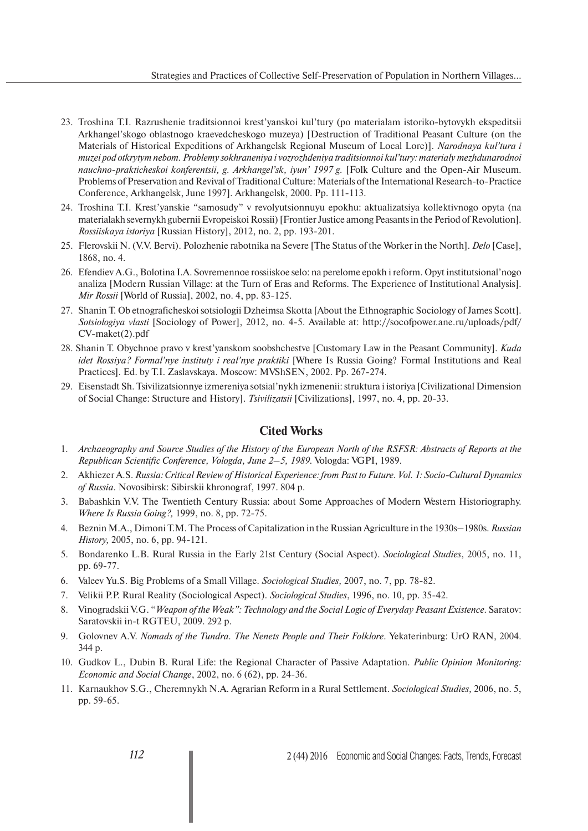- 23. Troshina T.I. Razrushenie traditsionnoi krest'yanskoi kul'tury (po materialam istoriko-bytovykh ekspeditsii Arkhangel'skogo oblastnogo kraevedcheskogo muzeya) [Destruction of Traditional Peasant Culture (on the Materials of Historical Expeditions of Arkhangelsk Regional Museum of Local Lore)]. *Narodnaya kul'tura i muzei pod otkrytym nebom. Problemy sokhraneniya i vozrozhdeniya traditsionnoi kul'tury: materialy mezhdunarodnoi nauchno-prakticheskoi konferentsii, g. Arkhangel'sk, iyun' 1997 g.* [Folk Culture and the Open-Air Museum. Problems of Preservation and Revival of Traditional Culture: Materials of the International Research-to-Practice Conference, Arkhangelsk, June 1997]. Arkhangelsk, 2000. Pp. 111-113.
- 24. Troshina T.I. Krest'yanskie "samosudy" v revolyutsionnuyu epokhu: aktualizatsiya kollektivnogo opyta (na materialakh severnykh gubernii Evropeiskoi Rossii) [Frontier Justice among Peasants in the Period of Revolution]. *Rossiiskaya istoriya* [Russian History], 2012, no. 2, pp. 193-201.
- 25. Flerovskii N. (V.V. Bervi). Polozhenie rabotnika na Severe [The Status of the Worker in the North]. *Delo* [Case], 1868, no. 4.
- 26. Efendiev A.G., Bolotina I.A. Sovremennoe rossiiskoe selo: na perelome epokh i reform. Opyt institutsional'nogo analiza [Modern Russian Village: at the Turn of Eras and Reforms. The Experience of Institutional Analysis]. *Mir Rossii* [World of Russia], 2002, no. 4, pp. 83-125.
- 27. Shanin T. Ob etnograficheskoi sotsiologii Dzheimsa Skotta [About the Ethnographic Sociology of James Scott]. *Sotsiologiya vlasti* [Sociology of Power], 2012, no. 4-5. Available at: http://socofpower.ane.ru/uploads/pdf/ CV-maket(2).pdf
- 28. Shanin T. Obychnoe pravo v krest'yanskom soobshchestve [Customary Law in the Peasant Community]. *Kuda idet Rossiya? Formal'nye instituty i real'nye praktiki* [Where Is Russia Going? Formal Institutions and Real Practices]. Ed. by T.I. Zaslavskaya. Moscow: MVShSEN, 2002. Pp. 267-274.
- 29. Eisenstadt Sh. Tsivilizatsionnye izmereniya sotsial'nykh izmenenii: struktura i istoriya [Civilizational Dimension of Social Change: Structure and History]. *Tsivilizatsii* [Civilizations], 1997, no. 4, pp. 20-33.

## **Cited Works**

- 1. *Archaeography and Source Studies of the History of the European North of the RSFSR: Abstracts of Reports at the Republican Scientific Conference, Vologda, June 2–5, 1989*. Vologda: VGPI, 1989.
- 2. Akhiezer A.S. *Russia: Critical Review of Historical Experience: from Past to Future. Vol. 1: Socio-Cultural Dynamics of Russia*. Novosibirsk: Sibirskii khronograf, 1997. 804 p.
- 3. Babashkin V.V. The Twentieth Century Russia: about Some Approaches of Modern Western Historiography. *Where Is Russia Going?,* 1999, no. 8, pp. 72-75.
- 4. Beznin M.A., Dimoni T.M. The Process of Capitalization in the Russian Agriculture in the 1930s–1980s. *Russian History,* 2005, no. 6, pp. 94-121.
- 5. Bondarenko L.B. Rural Russia in the Early 21st Century (Social Aspect). *Sociological Studies*, 2005, no. 11, pp. 69-77.
- 6. Valeev Yu.S. Big Problems of a Small Village. *Sociological Studies,* 2007, no. 7, pp. 78-82.
- 7. Velikii P.P. Rural Reality (Sociological Aspect). *Sociological Studies*, 1996, no. 10, pp. 35-42.
- 8. Vinogradskii V.G. "*Weapon of the Weak": Technology and the Social Logic of Everyday Peasant Existence.* Saratov: Saratovskii in-t RGTEU, 2009. 292 p.
- 9. Golovnev A.V. *Nomads of the Tundra. The Nenets People and Their Folklore.* Yekaterinburg: UrO RAN, 2004. 344 p.
- 10. Gudkov L., Dubin B. Rural Life: the Regional Character of Passive Adaptation. *Public Opinion Monitoring: Economic and Social Change*, 2002, no. 6 (62), pp. 24-36.
- 11. Karnaukhov S.G., Cheremnykh N.A. Agrarian Reform in a Rural Settlement. *Sociological Studies,* 2006, no. 5, pp. 59-65.